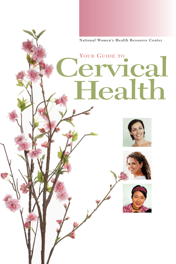**National Women's Health Resource Center**

Cervical

YOUR GUIDE TO

**Health**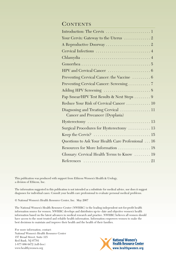#### **CONTENTS**

| Your Cervix: Gateway to the Uterus  2                                    |
|--------------------------------------------------------------------------|
|                                                                          |
|                                                                          |
|                                                                          |
|                                                                          |
|                                                                          |
| Preventing Cervical Cancer: the Vaccine  6                               |
| Preventing Cervical Cancer: Screening  7                                 |
|                                                                          |
| Pap Smear/HPV Test Results & Next Steps 9                                |
| Reduce Your Risk of Cervical Cancer  10                                  |
| Diagnosing and Treating Cervical  11<br>Cancer and Precancer (Dysplasia) |
|                                                                          |
| Surgical Procedures for Hysterectomy  13                                 |
|                                                                          |
| Questions to Ask Your Health Care Professional 16                        |
| Resources for More Information 18                                        |
| Glossary: Cervical Health Terms to Know  19                              |
|                                                                          |

This publication was produced with support from Ethicon Women's Health & Urology, a division of Ethicon, Inc.

The information suggested in this publication is not intended as a substitute for medical advice, nor does it suggest diagnoses for individual cases. Consult your health care professional to evaluate personal medical problems.

© National Women's Health Resource Center, Inc. May 2007

The National Women's Health Resource Center (NWHRC) is the leading independent not-for-profit health information source for women. NWHRC develops and distributes up-to- date and objective women's health information based on the latest advances in medical research and practice. NWHRC believes all women should have access to the most trusted and reliable health information. Information empowers women to make the best decisions to maintain and improve their health and the health of their families.

For more information, contact: National Women's Health Resource Center 157 Broad Street, Suite 315 Red Bank, NJ 07701 1-877-986-9472 (toll-free) www.healthywomen.org

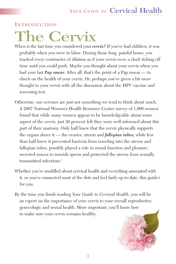#### **INTRODUCTION**

# **The Cervix**

When is the last time you considered your *cervix?* If you've had children, it was probably when you were in labor. During those long, painful hours, you tracked every centimeter of dilation as if your cervix were a clock ticking off time until you could push. Maybe you thought about your cervix when you had your last *Pap smear.* After all, that's the point of a Pap smear — to check on the health of your cervix. Or, perhaps you've given a bit more thought to your cervix with all the discussion about the HPV vaccine and screening test.

- Otherwise, our cervixes are just not something we tend to think about much. A 2007 National Women's Health Resource Center survey of 1,000 women found that while many women appear to be knowledgeable about some aspect of the cervix, just 20 percent felt they were well-informed about this part of their anatomy. Only half knew that the cervix physically supports the organs above it — the ovaries, uterus and *fallopian tubes;* while less than half knew it prevented bacteria from traveling into the uterus and fallopian tubes, possibly played a role in sexual function and pleasure, secreted mucus to nourish sperm and protected the uterus from sexually transmitted infections.<sup>1</sup>
- Whether you're muddled about cervical health and everything associated with it, or you've connected most of the dots and feel fairly up-to-date, this guide's for you.
- By the time you finish reading *Your Guide to Cervical Health,* you will be an expert on the importance of your cervix to your overall reproductive, gynecologic and sexual health. More important, you'll know how to make sure your cervix remains healthy.

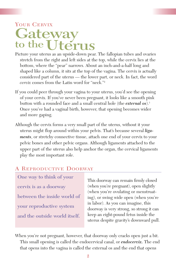# YOUR CERVIX **Gateway to the Uterus**

- Picture your uterus as an upside-down pear. The fallopian tubes and ovaries stretch from the right and left sides at the top, while the cervix lies at the bottom, where the "pear" narrows. About an inch-and-a-half long and shaped like a column, it sits at the top of the vagina. The cervix is actually considered part of the uterus — the lower part, or neck. In fact, the word *cervix* comes from the Latin word for "neck."2
- If you could peer through your vagina to your uterus, you'd see the opening of your cervix. If you've never been pregnant, it looks like a smooth pink button with a rounded face and a small central hole (the *external os*).3 Once you've had a vaginal birth, however, that opening becomes wider and more gaping.
- Although the cervix forms a very small part of the uterus, without it your uterus might flop around within your pelvis. That's because several *ligaments*, or stretchy connective tissue, attach one end of your cervix to your pelvic bones and other pelvic organs. Although ligaments attached to the upper part of the uterus also help anchor the organ, the cervical ligaments play the most important role.

#### A REPRODUCTIVE DOORWAY

**One way to think of your cervix is as a doorway between the inside world of your reproductive system and the outside world itself.** 

This doorway can remain firmly closed (when you're pregnant), open slightly (when you're ovulating or menstruating), or swing wide open (when you're in labor). As you can imagine, this doorway is very strong, so strong it can keep an eight-pound fetus inside the uterus despite gravity's downward pull.

When you're not pregnant, however, that doorway only cracks open just a bit. This small opening is called the endocervical canal, or *endocervix.* The end that opens into the vagina is called the external os and the end that opens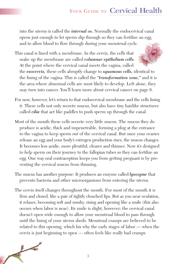into the uterus is called the *internal os.* Normally the endocervical canal opens just enough to let sperm slip through so they can fertilize an egg, and to allow blood to flow through during your menstrual cycle.

- This canal is lined with a membrane. In the cervix, the cells that make up the membrane are called *columnar epithelium cells.* At the point where the cervical canal meets the vagina, called the *exocervix,* these cells abruptly change to *squamous cells,* identical to the lining of the vagina. This is called the *"transformation zone,"* and it is the area where abnormal cells are most likely to develop. Left alone, they may turn into cancer. You'll learn more about cervical cancer on page 6.
- For now, however, let's return to that endocervical membrane and the cells lining it. These cells not only secrete mucus, but also have tiny hairlike structures called *cilia* that act like paddles to push sperm up through the canal.
- Most of the month these cells secrete very little mucus. The mucus they do produce is acidic, thick and impenetrable, forming a plug at the entrance to the vagina to keep sperm *out* of the cervical canal. But once your ovaries release an egg and your body's estrogen production rises, the mucus changes. It becomes less acidic, more plentiful, clearer and thinner. Now it's designed to *help* sperm on their journey to the fallopian tubes so they can fertilize an egg. One way oral contraception keeps you from getting pregnant is by preventing the cervical mucus from thinning.
- The mucus has another purpose: It produces an enzyme called *lysozyme* that prevents bacteria and other microorganisms from entering the uterus.
- The cervix itself changes throughout the month. For most of the month it is firm and closed, like a pair of tightly clenched lips. But as you near ovulation, it relaxes, becoming soft and mushy, rising and opening like a smile (this also occurs when labor is near). Its smile is slight, however; the cervical canal doesn't open wide enough to allow your menstrual blood to pass through until the lining of your uterus sheds. Menstrual cramps are believed to be related to this opening, which his why the early stages of labor — when the cervix is just beginning to open — often feels like really bad cramps.

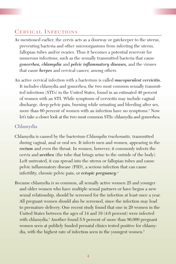#### CERVICAL INFECTIONS

- As mentioned earlier, the cervix acts as a doorway or gatekeeper to the uterus, preventing bacteria and other microorganisms from infecting the uterus, fallopian tubes and/or ovaries. Thus it becomes a potential reservoir for numerous infections, such as the sexually transmitted bacteria that cause *gonorrhea, chlamydia* and *pelvic inflammatory diseases,* and the viruses that cause *herpes* and cervical cancer, among others.
- An active cervical infection with a bacterium is called *mucopurulent cervicitis.* It includes chlamydia and gonorrhea, the two most common sexually transmitted infections (STI's) in the United States, found in an estimated 40 percent of women with an STI. While symptoms of cervicitis may include vaginal discharge, deep pelvic pain, burning while urinating and bleeding after sex, more than 60 percent of women with an infection have no symptoms.<sup>2</sup> Now let's take a closer look at the two most common STIs: chlamydia and gonorrhea.

#### **Chlamydia**

- Chlamydia is caused by the bacterium *Chlamydia trachomatis,* transmitted during vaginal, anal or oral sex. It infects men and women, appearing in the *rectum* and even the throat. In women, however, it commonly infects the cervix and *urethra* (the tube that brings urine to the outside of the body). Left untreated, it can spread into the uterus or fallopian tubes and cause pelvic inflammatory disease (PID), a serious infection that can cause infertility, chronic pelvic pain, or *ectopic pregnancy*. 4
- Because chlamydia is so common, all sexually active women 25 and younger and older women who have multiple sexual partners or have begun a new sexual relationship, should be screened for the infection at least once a year. All pregnant women should also be screened, since the infection may lead to premature delivery. One recent study found that one in 20 women in the United States between the ages of 14 and 19 (4.6 percent) were infected with chlamydia.<sup>5</sup> Another found 5.8 percent of more than 86,000 pregnant women seen at publicly funded prenatal clinics tested positive for chlamydia, with the highest rate of infection seen in the youngest women.<sup>5</sup>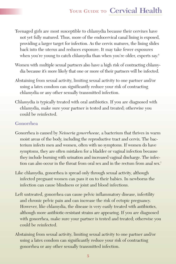- Teenaged girls are most susceptible to chlamydia because their cervixes have not yet fully matured. Thus, more of the endocervical canal lining is exposed, providing a larger target for infection. As the cervix matures, the lining slides back into the uterus and reduces exposure. It may take fewer exposures when you're young to catch chlamydia than when you're older, experts say.<sup>6</sup>
- Women with multiple sexual partners also have a high risk of contracting chlamydia because it's more likely that one or more of their partners will be infected.
- Abstaining from sexual activity, limiting sexual activity to one partner and/or using a latex condom can significantly reduce your risk of contracting chlamydia or any other sexually transmitted infection.
- Chlamydia is typically treated with oral antibiotics. If you are diagnosed with chlamydia, make sure your partner is tested and treated; otherwise you could be reinfected.

#### **Gonorrhea**

- Gonorrhea is caused by *Neisseria gonorrhoeae,* a bacterium that thrives in warm moist areas of the body, including the reproductive tract and cervix. The bacterium infects men and women, often with no symptoms. If women do have symptoms, they are often mistaken for a bladder or vaginal infection because they include burning with urination and increased vaginal discharge. The infection can also occur in the throat from oral sex and in the rectum from anal sex.<sup>7</sup>
- Like chlamydia, gonorrhea is spread only through sexual activity, although infected pregnant women can pass it on to their babies. In newborns the infection can cause blindness or joint and blood infections.
- Left untreated, gonorrhea can cause pelvic inflammatory disease, infertility and chronic pelvic pain and can increase the risk of ectopic pregnancy. However, like chlamydia, the disease is very easily treated with antibiotics, although more antibiotic-resistant strains are appearing. If you are diagnosed with gonorrhea, make sure your partner is tested and treated; otherwise you could be reinfected.
- Abstaining from sexual activity, limiting sexual activity to one partner and/or using a latex condom can significantly reduce your risk of contracting gonorrhea or any other sexually transmitted infection.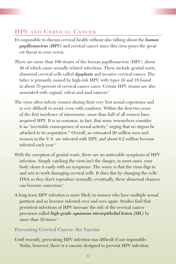#### HPV AND CERVICAL CANCER

- It's impossible to discuss cervical health without also talking about the *human papillomavirus (HPV)* and cervical cancer since this virus poses the greatest threat to your cervix.
- There are more than 100 strains of the human papillomavirus (HPV), about 40 of which cause sexually related infections. These include genital warts, abnormal cervical cells called *dysplasia* and invasive cervical cancer. The latter is primarily caused by high-risk HPV, with types 16 and 18 found in about 70 percent of cervical cancer cases. Certain HPV strains are also associated with vaginal, vulvar and anal cancers.8
- The virus often infects women during their very first sexual experience and is very difficult to avoid, even with condoms. Within the first two years of the first incidence of intercourse, more than half of all women have acquired HPV. It is so common, in fact, that some researchers consider it an "inevitable consequence of sexual activity," urging that no stigma be attached to its acquisition.10 Overall, an estimated 20 million men and women in the U.S. are infected with HPV, and about 6.2 million become infected each year.8
- With the exception of genital warts, there are no noticeable symptoms of HPV infection. Simply catching the virus isn't the danger; in most cases, your body clears it easily with no symptoms. The worry is that the virus digs in and sets to work damaging cervical cells. It does this by changing the cells' DNA so they don't reproduce normally; eventually, these abnormal chances can become cancerous.<sup>8</sup>
- A long-term HPV infection is more likely in women who have multiple sexual partners and so become infected over and over again. Studies find that persistent infections of HPV increase the risk of the cervical cancer precursor called *high-grade squamous intraepithelial lesion (SIL)* by more than 10 times.<sup>8</sup>

#### **Preventing Cervical Cancer: the Vaccine**

Until recently, preventing HPV infection was difficult if not impossible. Today, however, there is a vaccine designed to prevent HPV infection.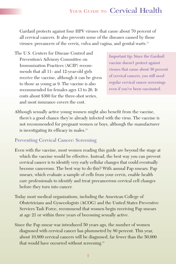Gardasil protects against four HPV viruses that cause about 70 percent of all cervical cancers. It also prevents some of the diseases caused by those viruses: precancers of the cervix, vulva and vagina, and genital warts.<sup>11</sup>

The U.S. Centers for Disease Control and Prevention's Advisory Committee on Immunization Practices (ACIP) recommends that all 11- and 12-year-old girls receive the vaccine, although it can be given to those as young as 9. The vaccine is also recommended for females ages 13 to 26. It costs about \$360 for the three-shot series, and most insurance covers the cost.

**Important tip: Since the Gardasil vaccine doesn't protect against viruses that cause about 30 percent of cervical cancers, you still need regular cervical cancer screenings even if you've been vaccinated.**

Although sexually active young women might also benefit from the vaccine, there's a good chance they're already infected with the virus. The vaccine is not recommended for pregnant women or boys, although the manufacturer is investigating its efficacy in males.<sup>11</sup>

#### **Preventing Cervical Cancer: Screening**

- Even with the vaccine, most women reading this guide are beyond the stage at which the vaccine would be effective. Instead, the best way you can prevent cervical cancer is to identify very early cellular changes that could eventually become cancerous. The best way to do this? With annual Pap smears. Pap smears, which evaluate a sample of cells from your cervix, enable health care professionals to identify and treat precancerous cervical cell changes before they turn into cancer.
- Today most medical organizations, including the American College of Obstetricians and Gynecologists (ACOG) and the United States Preventive Services Task Force, recommend that women begin receiving Pap smears at age 21 or within three years of becoming sexually active.
- Since the Pap smear was introduced 50 years ago, the number of women diagnosed with cervical cancer has plummeted by 80 percent. This year, about 10,800 cervical cancers will be diagnosed, far fewer than the 50,000 that would have occurred without screening.<sup>11</sup>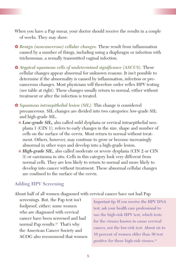- When you have a Pap smear, your doctor should receive the results in a couple of weeks. They may show:
- ✿ *Benign (noncancerous) cellular changes.* These result from inflammation caused by a number of things, including using a diaphragm or infection with trichomonas, a sexually transmitted vaginal infection.
- ✿ *Atypical squamous cells of undetermined significance (ASCUS).* These cellular changes appear abnormal for unknown reasons. It isn't possible to determine if the abnormality is caused by inflammation, infection or precancerous changes. Most physicians will therefore order reflex HPV testing (see table at right). These changes usually return to normal, either without treatment or after the infection is treated.
- ✿ *Squamous intraepithelial lesion (SIL).* This change is considered precancerous. SIL changes are divided into two categories: low-grade SIL and high-grade SIL.
	- ❀ *Low-grade SIL,* also called mild dysplasia or cervical intraepithelial neoplasia 1 (CIN 1), refers to early changes in the size, shape and number of cells on the surface of the cervix. Most return to normal without treatment. Others, however, may continue to grow or become increasingly abnormal in other ways and develop into a high-grade lesion.
	- ❀ *High-grade SIL,* also called moderate or severe dysplasia (CIN 2 or CIN 3) or carcinoma in situ. Cells in this category look very different from normal cells. They are less likely to return to normal and more likely to develop into cancer without treatment. These abnormal cellular changes are confined to the surface of the cervix.

#### **Adding HPV Screening**

About half of all women diagnosed with cervical cancer have not had Pap

screenings. But, the Pap test isn't foolproof, either; some women who are diagnosed with cervical cancer have been screened and had normal Pap results.12 That's why the American Cancer Society and ACOG also recommend that women

**Important tip: If you receive the HPV DNA test, ask your health care professional to use the high-risk HPV test, which tests for the viruses known to cause cervical cancer, not the low-risk test. About six to 10 percent of women older than 30 test positive for these high-risk viruses.12**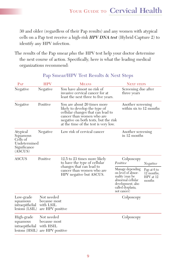30 and older (regardless of their Pap results) and any women with atypical cells on a Pap test receive a high-risk *HPV DNA test* (Hybrid Capture 2) to identify any HPV infection.

The results of the Pap smear *plus* the HPV test help your doctor determine the next course of action. Specifically, here is what the leading medical organizations recommend:

| PAP                                                                         | <b>HPV</b>                                                  | <b>MEANS</b>                                                                                                                                                                                                   |                                                                                                                                        | <b>NEXT STEPS</b>                                |  |
|-----------------------------------------------------------------------------|-------------------------------------------------------------|----------------------------------------------------------------------------------------------------------------------------------------------------------------------------------------------------------------|----------------------------------------------------------------------------------------------------------------------------------------|--------------------------------------------------|--|
| Negative                                                                    | Negative                                                    | You have almost no risk of<br>invasive cervical cancer for at<br>least the next three to five years.                                                                                                           | three years                                                                                                                            | Screening due after                              |  |
| Negative                                                                    | Positive                                                    | You are about 20 times more<br>likely to develop the type of<br>cellular changes that can lead to<br>cancer than women who are<br>negative on both tests, but the risk<br>at the time of the test is very low. |                                                                                                                                        | Another screening<br>within six to 12 months     |  |
| Atypical<br>Squamous<br>Cells of<br>Undetermined<br>Significance<br>(ASCUS) | Negative                                                    | Low risk of cervical cancer                                                                                                                                                                                    | Another screening<br>in $12$ months                                                                                                    |                                                  |  |
| <b>ASCUS</b>                                                                | Positive                                                    | 12.5 to 23 times more likely<br>to have the type of cellular<br>changes that can lead to<br>cancer than women who are<br>HPV negative but ASCUS.                                                               | Colposcopy<br>Positive                                                                                                                 | Negative                                         |  |
|                                                                             |                                                             |                                                                                                                                                                                                                | Manage depending<br>on level of abnor-<br>mality (may be<br>abnormal cellular<br>development, also<br>called dysplasia,<br>not cancer) | Pap at 6 to<br>12 months;<br>HPV at 12<br>months |  |
| Low-grade<br>squamous<br>intraepithelial<br>$lesions$ (LSIL)                | Not needed<br>because most<br>with LSIL<br>are HPV positive |                                                                                                                                                                                                                | Colposcopy                                                                                                                             |                                                  |  |
| High-grade<br>squamous<br>intraepithelial<br>lesions (HSIL)                 | Not needed<br>because most<br>with HSIL<br>are HPV positive |                                                                                                                                                                                                                | Colposcopy                                                                                                                             |                                                  |  |

#### **Pap Smear/HPV Test Results & Next Steps**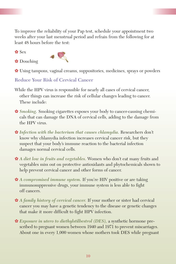To improve the reliability of your Pap test, schedule your appointment two weeks after your last menstrual period and refrain from the following for at least 48 hours before the test:

✿ Sex





✿ Using tampons, vaginal creams, suppositories, medicines, sprays or powders

**Reduce Your Risk of Cervical Cancer**

- While the HPV virus is responsible for nearly all cases of cervical cancer, other things can increase the risk of cellular changes leading to cancer. These include:
- ✿ *Smoking.* Smoking cigarettes exposes your body to cancer-causing chemicals that can damage the DNA of cervical cells, adding to the damage from the HPV virus.
- ✿ *Infection with the bacterium that causes chlamydia.* Researchers don't know why chlamydia infection increases cervical cancer risk, but they suspect that your body's immune reaction to the bacterial infection damages normal cervical cells.
- ✿ *A diet low in fruits and vegetables.* Women who don't eat many fruits and vegetables miss out on protective antioxidants and phytochemicals shown to help prevent cervical cancer and other forms of cancer.
- ✿ *A compromised immune system.* If you're HIV positive or are taking immunosuppressive drugs, your immune system is less able to fight off cancers.
- ✿ *A family history of cervical cancer.* If your mother or sister had cervical cancer you may have a genetic tendency to the disease or genetic changes that make it more difficult to fight HPV infection.
- ✿ *Exposure in utero to diethylstilbestrol (DES),* a synthetic hormone prescribed to pregnant women between 1940 and 1971 to prevent miscarriages. About one in every 1,000 women whose mothers took DES while pregnant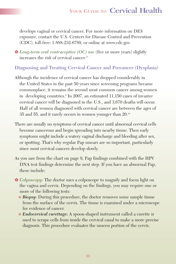develops vaginal or cervical cancer. For more information on DES exposure, contact the U.S. Centers for Disease Control and Prevention (CDC), toll-free: 1-888-232-6789, or online at www.cdc.gov.

✿ *Long-term oral contraceptive (OC) use* (five or more years) slightly increases the risk of cervical cancer.<sup>13</sup>

**Diagnosing and Treating Cervical Cancer and Precancer (Dysplasia)**

- Although the incidence of cervical cancer has dropped considerably in the United States in the past 50 years since screening programs became commonplace, it remains the second most common cancer among women in developing countries.<sup>8</sup> In 2007, an estimated 11,150 cases of invasive cervical cancer will be diagnosed in the U.S., and 3,670 deaths will occur. Half of all women diagnosed with cervical cancer are between the ages of 35 and 55, and it rarely occurs in women younger than 20.14
- There are usually no symptoms of cervical cancer until abnormal cervical cells become cancerous and begin spreading into nearby tissue. Then early symptoms might include a watery vaginal discharge and bleeding after sex, or spotting. That's why regular Pap smears are so important, particularly since most cervical cancers develop slowly.
- As you saw from the chart on page 9, Pap findings combined with the HPV DNA test findings determine the next step. If you have an abnormal Pap, these include:
- ✿ *Colposcopy:* The doctor uses a colposcope to magnify and focus light on the vagina and cervix. Depending on the findings, you may require one or more of the following tests:
	- ❀ *Biopsy:* During this procedure, the doctor removes some sample tissue from the surface of the cervix. The tissue is examined under a microscope for evidence of cancer.
	- ❀ *Endocervical curettage:* A spoon-shaped instrument called a curette is used to scrape cells from inside the cervical canal to make a more precise diagnosis. This procedure evaluates the unseen portion of the cervix.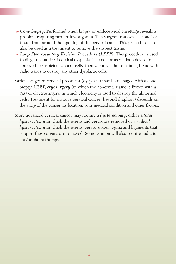- ❀ *Cone biopsy:* Performed when biopsy or endocervical curettage reveals a problem requiring further investigation. The surgeon removes a "cone" of tissue from around the opening of the cervical canal. This procedure can also be used as a treatment to remove the suspect tissue.
- ❀ *Loop Electrocautery Excision Procedure (LEEP):* This procedure is used to diagnose and treat cervical dysplasia. The doctor uses a loop device to remove the suspicious area of cells, then vaporizes the remaining tissue with radio waves to destroy any other dysplastic cells.
- Various stages of cervical precancer (dysplasia) may be managed with a cone biopsy, LEEP, *cryosurgery* (in which the abnormal tissue is frozen with a gas) or electrosurgery, in which electricity is used to destroy the abnormal cells. Treatment for invasive cervical cancer (beyond dysplasia) depends on the stage of the cancer, its location, your medical condition and other factors.
- More advanced cervical cancer may require a *hysterectomy,* either a *total hysterectomy* in which the uterus and cervix are removed or a *radical hysterectomy* in which the uterus, cervix, upper vagina and ligaments that support these organs are removed. Some women will also require radiation and/or chemotherapy.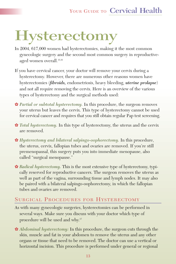# **Hysterectomy**

- In 2004, 617,000 women had hysterectomies, making it the most common gynecologic surgery and the second most common surgery in reproductiveaged women overall.<sup>15,16</sup>
- If you have cervical cancer, your doctor will remove your cervix during a hysterectomy. However, there are numerous other reasons women have hysterectomies (*fibroids,* endometriosis, heavy bleeding, *uterine prolapse*) and not all require removing the cervix. Here is an overview of the various types of hysterectomy and the surgical methods used:
- ✿ *Partial or subtotal hysterectomy.* In this procedure, the surgeon removes your uterus but leaves the cervix. This type of hysterectomy cannot be used for cervical cancer and requires that you still obtain regular Pap test screening.
- ✿ *Total hysterectomy.* In this type of hysterectomy, the uterus and the cervix are removed.
- ✿ *Hysterectomy and bilateral salpingo-oophorectomy.* In this procedure, the uterus, cervix, fallopian tubes and ovaries are removed. If you're still premenopausal, this surgery puts you into immediate menopause, also called "surgical menopause."
- ✿ *Radical hysterectomy.* This is the most extensive type of hysterectomy, typically reserved for reproductive cancers. The surgeon removes the uterus as well as part of the vagina, surrounding tissue and lymph nodes. It may also be paired with a bilateral salpingo-oophorectomy, in which the fallopian tubes and ovaries are removed.

#### SURGICAL PROCEDURES FOR HYSTERECTOMY

- As with many gynecologic surgeries, hysterectomies can be performed in several ways. Make sure you discuss with your doctor which type of procedure will be used and why.17
- ✿ *Abdominal hysterectomy:* In this procedure, the surgeon cuts through the skin, muscle and fat in your abdomen to remove the uterus and any other organs or tissue that need to be removed. The doctor can use a vertical or horizontal incision. This procedure is performed under general or regional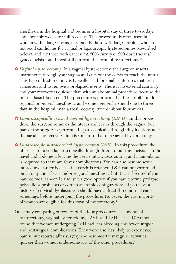anesthesia in the hospital and requires a hospital stay of three to six days and about six weeks for full recovery. This procedure is often used in women with a large uterus, particularly those with large fibroids, who are not good candidates for vaginal or laparoscopic hysterectomies (described below), and for those with cancer.<sup>18</sup> A 2006 survey of 200 obstetricians/ gynecologists found most still perform this form of hysterectomy.19

- ✿ *Vaginal hysterectomy:* In a vaginal hysterectomy, the surgeon inserts instruments through your vagina and cuts out the cervix to reach the uterus. This type of hysterectomy is typically used for smaller uteruses that aren't cancerous and to remove a prolapsed uterus. There is no external scarring, and your recovery is quicker than with an abdominal procedure because the muscle hasn't been cut. The procedure is performed in the hospital under regional or general anesthesia, and women generally spend one to three days in the hospital, with a total recovery time of about four weeks.
- ✿ *Laparoscopically assisted vaginal hysterectomy (LAVH):* In this procedure, the surgeon removes the uterus and cervix through the vagina, but part of the surgery is performed laparoscopically through tiny incisions near the naval. The recovery time is similar to that of a vaginal hysterectomy.
- ✿ *Laparoscopic supracervical hysterectomy (LSH).* In this procedure, the uterus is removed laparoscopically through three to four tiny incisions in the navel and abdomen, leaving the cervix intact. Less cutting and manipulation is required so there are fewer complications. You can also resume sexual intercourse earlier because the cervix is retained. LSH can be performed on an outpatient basis under regional anesthesia, but it can't be used if you have cervical cancer. It also isn't a good option if you have uterine prolapse, pelvic floor problems or certain anatomic configurations. If you have a history of cervical dysplasia, you should have at least three normal cancer screenings before undergoing the procedure. However, the vast majority of women are eligible for this form of hysterectomy.19
- One study comparing outcomes of the four procedures abdominal hysterectomy, vaginal hysterectomy, LAVH and LSH — in 117 women found that women undergoing LSH had less bleeding and fewer surgical and postsurgical complications. They were also less likely to experience painful intercourse after surgery and resumed their regular activities quicker than women undergoing any of the other procedures.<sup>20</sup>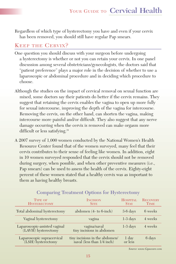Regardless of which type of hysterectomy you have and even if your cervix has been removed, you should still have regular Pap smears.

#### KEEP THE CERVIX?

- One question you should discuss with your surgeon before undergoing a hysterectomy is whether or not you can retain your cervix. In one panel discussion among several obstetricians/gynecologists, the doctors said that "patient preference" plays a major role in the decision of whether to use a laparoscopic or abdominal procedure and in deciding which procedure to choose.
- Although the studies on the impact of cervical removal on sexual function are mixed, some doctors say their patients do better if the cervix remains. They suggest that retaining the cervix enables the vagina to open up more fully for sexual intercourse, improving the depth of the vagina for intercourse. Removing the cervix, on the other hand, can shorten the vagina, making intercourse more painful and/or difficult. They also suggest that any nerve damage occurring when the cervix is removed can make orgasm more difficult or less satisfying.<sup>19</sup>
- A 2007 survey of 1,000 women conducted by the National Women's Health Resource Center found that of the women surveyed, many feel that their cervix contributes to their sense of feeling like women. In addition, eight in 10 women surveyed responded that the cervix should not be removed during surgery, when possible, and when other preventive measures (i.e., Pap smears) can be used to assess the health of the cervix. Eighty-eight percent of these women stated that a healthy cervix was as important to them as having healthy breasts.

| <b>TYPE OF</b><br><b>HYSTERECTOMY</b>                | <b>INCISION</b><br><b>SITE</b>                                      | <b>HOSPITAL</b><br><b>STAY</b> | <b>RECOVERY</b><br><b>TIME</b> |
|------------------------------------------------------|---------------------------------------------------------------------|--------------------------------|--------------------------------|
| Total abdominal hysterectomy                         | abdomen $(4-$ to 6-inch)                                            | 3-6 days                       | 6 weeks                        |
| Vaginal hysterectomy                                 | vagina                                                              | $1-3$ days                     | 4 weeks                        |
| Laparoscopic-assisted vaginal<br>(LAVH) hysterectomy | vagina/naval<br>tiny incisions in abdomen                           | $1-3$ days                     | 4 weeks                        |
| Laparoscopic supracervical<br>(LSH) hysterectomy     | tiny incisions in the abdomen/<br>naval (less than $1/4$ inch) $\,$ | 1 day<br>or less               | 6 days                         |

#### **Comparing Treatment Options for Hysterectomy**

*Source: www.Gynecare.com*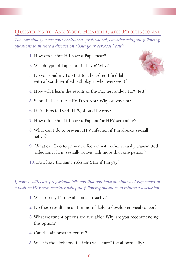#### QUESTIONS TO ASK YOUR HEALTH CARE PROFESSIONAL

*The next time you see your health care professional, consider using the following questions to initiate a discussion about your cervical health:*

- 1. How often should I have a Pap smear?
- 2. Which type of Pap should I have? Why?
- 3. Do you send my Pap test to a board-certified lab with a board-certified pathologist who oversees it?



- 4. How will I learn the results of the Pap test and/or HPV test?
- 5. Should I have the HPV DNA test? Why or why not?
- 6. If I'm infected with HPV, should I worry?
- 7. How often should I have a Pap and/or HPV screening?
- 8. What can I do to prevent HPV infection if I'm already sexually active?
- 9. What can I do to prevent infection with other sexually transmitted infections if I'm sexually active with more than one person?
- 10. Do I have the same risks for STIs if I'm gay?

*If your health care professional tells you that you have an abnormal Pap smear or a positive HPV test, consider using the following questions to initiate a discussion:*

- 1. What do my Pap results mean, exactly?
- 2. Do these results mean I'm more likely to develop cervical cancer?
- 3. What treatment options are available? Why are you recommending this option?
- 4. Can the abnormality return?
- 5. What is the likelihood that this will "cure" the abnormality?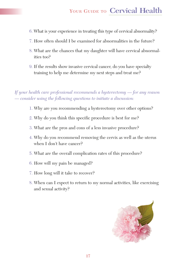- 6. What is your experience in treating this type of cervical abnormality?
- 7. How often should I be examined for abnormalities in the future?
- 8. What are the chances that my daughter will have cervical abnormalities too?
- 9. If the results show invasive cervical cancer, do you have specialty training to help me determine my next steps and treat me?

*If your health care professional recommends a hysterectomy — for any reason — consider using the following questions to initiate a discussion:*

- 1. Why are you recommending a hysterectomy over other options?
- 2. Why do you think this specific procedure is best for me?
- 3. What are the pros and cons of a less invasive procedure?
- 4. Why do you recommend removing the cervix as well as the uterus when I don't have cancer?
- 5. What are the overall complication rates of this procedure?
- 6. How will my pain be managed?
- 7. How long will it take to recover?
- 8. When can I expect to return to my normal activities, like exercising and sexual activity?

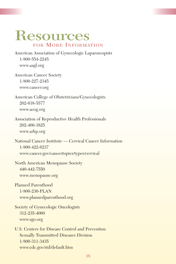# **Resources**  FOR MORE INFORMATION

American Association of Gynecologic Laparoscopists 1-800-554-2245 www.aagl.org

American Cancer Society 1-800-227-2345 www.cancer.org

American College of Obstetricians/Gynecologists 202-638-5577 www.acog.org

Association of Reproductive Health Professionals 202-466-3825 www.arhp.org

National Cancer Institute — Cervical Cancer Information 1-800-422-6237 www.cancer.gov/cancertopics/types/cervical

North American Menopause Society 440-442-7550 www.menopause.org

Planned Parenthood 1-800-230-PLAN www.plannedparenthood.org

Society of Gynecologic Oncologists 312-235-4060 www.sgo.org

U.S. Centers for Disease Control and Prevention Sexually Transmitted Diseases Division 1-800-311-3435 www.cdc.gov/std/default.htm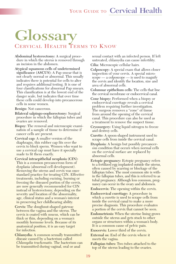# **Glossary** CERVICAL HEALTH TERMS TO KNOW

**Abdominal hysterectomy:** A surgical procedure in which the uterus is removed through an incision in the abdomen.

**Atypical squamous cells of undetermined significance (ASCUS):** A Pap smear that is not clearly normal or abnormal. This usually indicates there is potential for cells to alter and requires additional testing. It is one of four classifications for abnormal Pap smears. This classification is at the lowest end of the danger scale, but indicates that over time these cells could develop into precancerous cells in some women.

#### **Benign:** Not cancerous.

- **Bilateral salpingo-oophorectomy:** Surgical procedure in which the fallopian tubes and ovaries are removed.
- **Biopsy:** The removal and microscopic examination of a sample of tissue to determine if cancer cells are present.
- **Cervical cap:** A smaller version of the diaphragm, this rubber cap fits over the cervix to block sperm. Women who want to use a cervical cap must have it specially made to fit them exactly.
- **Cervical intraepithelial neoplasia (CIN):** This is a common precancerous form of dysplasia (abnormal cell development). Removing the uterus and cervix was once standard practice for treating CIN. Effective treatments, including excising, burning or freezing the diseased portion of the cervix, are now generally recommended for CIN instead of hysterectomy, depending on the severity and location of the abnormality, age, clinical status and a woman's interest in preserving her childbearing ability.
- **Cervix:** The doughnut-shaped gateway between the vagina and the uterus. The cervix is coated with mucus, which can be thick or thin, depending on a woman's monthly hormone levels. Because of its anatomical position, it is an easy target for infection.
- **Chlamydia:** A common sexually transmitted disease caused by a bacterium called *Chlamydia trachomatis.* The bacterium can be transmitted during vaginal, oral or anal

sexual contact with an infected person. If left untreated, chlamydia can cause infertility. **Cilia:** Microscopic cellular hairs.

**Colposcopy:** A special exam that allows closer inspection of your cervix. A special microscope — a colposcope — is used to magnify the cervix and identify the location, size and area of abnormal cells.

**Columnar epithelium cells:** The cells that line the cervical membrane or endocervical canal.

**Cone biopsy:** Performed when a biopsy or endocervical curettage reveals a cervical problem requiring further investigation. The surgeon removes a "cone" of tissue from around the opening of the cervical canal. This procedure can also be used as a treatment to remove the suspect tissue.

**Cryosurgery:** Using liquid nitrogen to freeze and destroy cells.

- **Curette:** A spoon-shaped instrument used to scrape cells from inside the cervical canal.
- **Dysplasia:** A benign but possibly precancerous condition that occurs when normal cells on the cervical surface are replaced by abnormal cells.
- **Ectopic pregnancy:** Ectopic pregnancy refers to a fertilized egg implanted outside the uterus, often caused by scarring or blockage of the fallopian tubes. The most common site is within the fallopian tubes, and this is referred to as tubal pregnancy. Although less common, pregnancy can occur in the ovary and abdomen.

**Endocervix:** The opening within the cervix.

- **Endocervical curettage:** A procedure in which a curette is used to scrape cells from inside the cervical canal to make a more precise diagnosis. This procedure evaluates a portion of the cervix that cannot be seen.
- **Endometriosis:** When the uterine lining grows outside the uterus and gets stuck to other organs or structures within a woman's body. It is a common cause of pelvic pain.
- **Exocervix:** Lower third of the cervix.
- **External os:** End of the cervix where it meets the vagina.
- **Fallopian tubes:** Two tubes attached to the top of the uterus leading to the ovaries.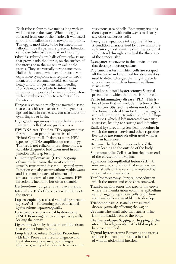Each tube is four to five inches long with its wide end near the ovary. When an egg is released from one of the ovaries, it will travel through the fallopian tube toward the uterus. The egg is most likely to be fertilized in the fallopian tube if sperm are present. Infection can cause tube tissue to scar and close up.

- **Fibroids:** Fibroids are balls of muscular tissue that grow inside the uterus, on the surface of the uterus or in the muscular wall of the uterus. They are virtually never cancerous. Half of the women who have fibroids never experience symptoms and require no treatment. But, even small fibroids can cause heavy and/or longer menstrual bleeding. Fibroids may contribute to infertility in some women, possibly because they interfere with an embryo's ability to attach itself to the uterus.
- **Herpes:** A chronic sexually transmitted disease that causes blister-like sores on the genitals, lips and face; in rare cases, can also affect the eyes, fingers or brain.

**High-grade squamous intraepithelial lesion:** Immature cells that are precancerous.

**HPV DNA test:** The first FDA-approved test for the human papillomavirus is called the Hybrid Capture II. It detects many HPV types using DNA amplification technology. The test is not reliable to use alone but is a valuable diagnostic tool when used in conjunction with Pap testing.

**Human papillomavirus (HPV):** A group of viruses that cause the most common sexually transmitted disease — genital warts. Infection can also occur without visible warts and is the major cause of abnormal Pap smears and cervical cancer in women. HPV infection is incurable but often treatable.

**Hysterectomy:** Surgery to remove a uterus.

**Internal os:** End of the cervix where it meets the uterus.

**Laparoscopically assisted vaginal hysterectomy (LAVH):** Performing part of a vaginal hysterectomy laparoscopically.

**Laparoscopic supracervical hysterectomy (LSH):** Removing the uterus laparoscopically, leaving the cervix.

**Ligaments:** Stretchy bands of cord-like tissue that connect bone to bone.

**Loop Electrocautery Excision Procedure (LEEP):** Procedure used to diagnose and treat abnormal precancerous changes (dysplasia) using a loop device to remove the suspicious area of cells. Remaining tissue is then vaporized with radio waves to destroy any other cancerous cells.

**Low-grade squamous intraepithelial lesion:** A condition characterized by a few immature cells among mostly mature cells; the abnormal cells extend through one-third the thickness of the cervical skin.

**Lysozyme:** An enzyme in the cervical mucus that destroys microorganisms.

**Pap smear:** A test in which cells are scraped off the cervix and examined for abnormalities; used to detect changes that might precede cervical cancer, such as human papilloma virus (HPV).

**Partial or subtotal hysterectomy:** Surgical procedure in which the uterus is removed.

**Pelvic inflammatory disease (PID):** This is a broad term that can include infection of the cervix (cervicitis) and the uterus (endometritis). The formal medical term for PID is salpingitis and refers primarily to infection of the fallopian tubes, which if left untreated can cause abscesses, leading to scarring and infertility.

**Radical hysterectomy:** Surgical procedure in which the uterus, cervix and other reproductive tissue are removed; often used when a woman has cancer.

**Rectum:** The last five to six inches of the colon leading to the outside of the body.

**Squamous cells:** Cells that line the lower end of the cervix and the vagina.

**Squamous intraepithelial lesion (SIL):** A noncancerous condition that occurs when normal cells on the cervix are replaced by a layer of abnormal cells.

**Total hysterectomy:** Surgical procedure in which the uterus and cervix are removed.

**Transformation zone:** The area of the cervix where the membranous columnar epithelium cells change to squamous cells, and where abnormal cells are most likely to develop.

**Trichomoniasis:** A sexually transmitted disease primarily affecting the vagina.

**Urethra:** The small tube that carries urine from the bladder out of the body.

**Uterine prolapse:** Sagging or dropping of the uterus when ligaments that hold it in place become stretched.

**Vaginal hysterectomy:** Removing the uterus and cervix through the vagina instead of with an abdominal incision.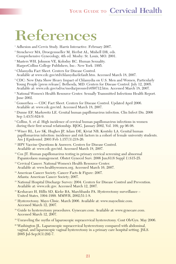# **References**

- <sup>1</sup> Adhesion and Cervix Study. Harris Interactive. February 2007.
- <sup>2</sup> Stenchever MA, Droegemueller M, Herbst AL, Mishell DR, eds. Comprehensive Gynecology, 4th ed. Mosby: St. Louis, MO. 2001.
- <sup>3</sup> Masters WH, Johnson VE, Kolodny RC. Human Sexuality. HarperCollins College Publishers, Inc.: New York. 1995.
- <sup>4</sup> Chlamydia Fact Sheet. Centers for Disease Control. Available at www.cdc.gov/std/chlamydia/default.htm. Accessed March 18, 2007.
- <sup>5</sup> CDC: New Data Show Heavy Impact of Chlamydia on U.S. Men and Women, Particularly Young People [press release]. Bethesda, MD: Centers for Disease Control. July 12, 2005. Available at: www.cdc.gov/od/oc/media/pressrel/r050712.htm. Accessed March 18, 2007.
- <sup>6</sup> National Women's Health Resource Center. Sexually Transmitted Infections Health Report. June 2002.
- <sup>7</sup> Gonorrhea CDC Fact Sheet. Centers for Disease Control. Updated April 2006. Available at: www.cdc.gov/std. Accessed March 18, 2007.
- <sup>8</sup> Dunne EF, Markowitz LE. Genital human papillomavirus infection. Clin Infect Dis. 2006 Sep 1;43(5):624-9.
- <sup>9</sup> Collins, S. et al. High incidence of cervical human papillomavirus infections in women during their first sexual relationship. BJOG, January 2002, Vol. 109, pp 96-98.
- <sup>10</sup> Winer RL, Lee SK, Hughes JP, Adam DE, Kiviat NB, Koutsky LA. Genital human papillomavirus infection: incidence and risk factors in a cohort of female university students. Am J Epidemiol. 2003 Feb 1;157(3):218-26.
- <sup>11</sup> HPV Vaccine Ouestions & Answers. Centers for Disease Control. Available at: www.cdc.gov/std. Accessed March 18, 2007.
- <sup>12</sup> Cox JT. Human papillomavirus testing in primary cervical screening and abnormal Papanicolaou management. Obstet Gynecol Surv. 2006 Jun;61(6 Suppl 1):S15-25.
- <sup>13</sup> Cervical Cancer. National Women's Health Resource Center. Available at: www.healthywomen.org. Accessed March 16, 2007.
- <sup>14</sup> American Cancer Society. Cancer Facts & Figure: 2007. Atlanta: American Cancer Society; 2007.
- <sup>15</sup> National Hospital Discharge Survey: 2004. Centers for Disease Control and Prevention. Available at: www.cdc.gov. Accessed March 12, 2007.
- <sup>16</sup> Keshavarz H, Hillis SD, Kieke BA, Marchbanks PA. Hysterectomy surveillance United States, 1994-1999. MMWR, 2002;51:1-8.
- <sup>17</sup> Hysterectomy. Mayo Clinic. March 2006. Available at: www.mayoclinic.com. Accessed March 12, 2007.
- <sup>18</sup> Guide to hysterectomy procedures. Gynecare.com. Available at: www.gynecare.com. Accessed March 12, 2007.
- <sup>19</sup> Unraveling the myths of laparoscopic supracervical hysterectomy. Cont Ob/Gyn. May 2006.
- <sup>20</sup> Washington JL. Laparoscopic supracervical hysterectomy compared with abdominal, vaginal, and laparoscopic vaginal hysterectomy in a primary care hospital setting. JSLS. 2005 Jul-Sep;9(3):292-7.